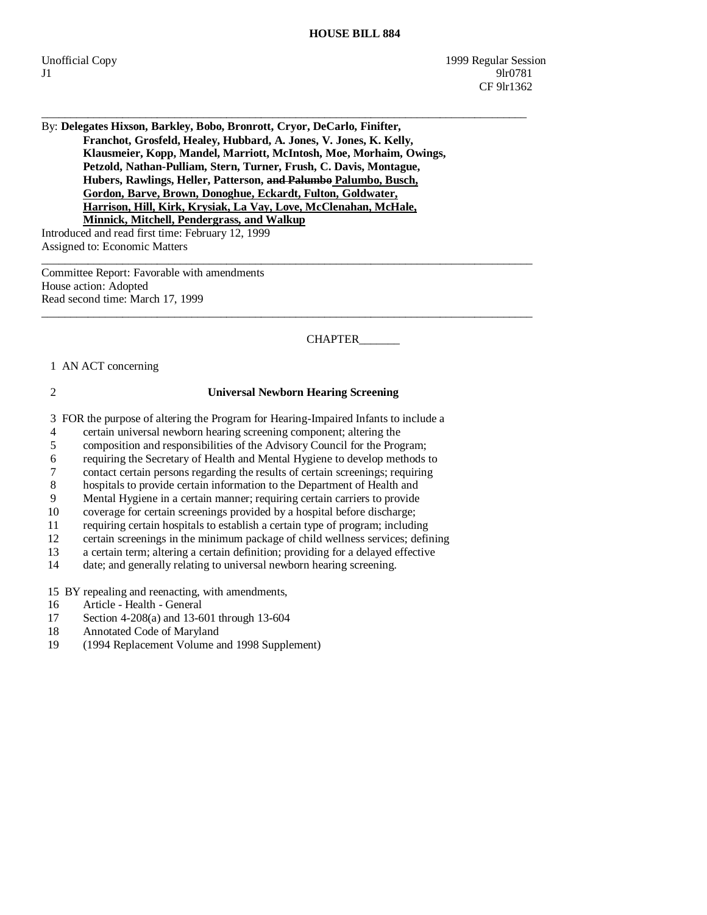By: **Delegates Hixson, Barkley, Bobo, Bronrott, Cryor, DeCarlo, Finifter, Franchot, Grosfeld, Healey, Hubbard, A. Jones, V. Jones, K. Kelly, Klausmeier, Kopp, Mandel, Marriott, McIntosh, Moe, Morhaim, Owings, Petzold, Nathan-Pulliam, Stern, Turner, Frush, C. Davis, Montague, Hubers, Rawlings, Heller, Patterson, and Palumbo Palumbo, Busch, Gordon, Barve, Brown, Donoghue, Eckardt, Fulton, Goldwater, Harrison, Hill, Kirk, Krysiak, La Vay, Love, McClenahan, McHale, Minnick, Mitchell, Pendergrass, and Walkup**

\_\_\_\_\_\_\_\_\_\_\_\_\_\_\_\_\_\_\_\_\_\_\_\_\_\_\_\_\_\_\_\_\_\_\_\_\_\_\_\_\_\_\_\_\_\_\_\_\_\_\_\_\_\_\_\_\_\_\_\_\_\_\_\_\_\_\_\_\_\_\_\_\_\_\_\_\_\_\_\_\_\_\_\_

\_\_\_\_\_\_\_\_\_\_\_\_\_\_\_\_\_\_\_\_\_\_\_\_\_\_\_\_\_\_\_\_\_\_\_\_\_\_\_\_\_\_\_\_\_\_\_\_\_\_\_\_\_\_\_\_\_\_\_\_\_\_\_\_\_\_\_\_\_\_\_\_\_\_\_\_\_\_\_\_\_\_\_\_\_

\_\_\_\_\_\_\_\_\_\_\_\_\_\_\_\_\_\_\_\_\_\_\_\_\_\_\_\_\_\_\_\_\_\_\_\_\_\_\_\_\_\_\_\_\_\_\_\_\_\_\_\_\_\_\_\_\_\_\_\_\_\_\_\_\_\_\_\_\_\_\_\_\_\_\_\_\_\_\_\_\_\_\_\_\_

Introduced and read first time: February 12, 1999 Assigned to: Economic Matters

Committee Report: Favorable with amendments House action: Adopted Read second time: March 17, 1999

CHAPTER\_\_\_\_\_\_\_

#### 1 AN ACT concerning

#### 2 **Universal Newborn Hearing Screening**

3 FOR the purpose of altering the Program for Hearing-Impaired Infants to include a

4 certain universal newborn hearing screening component; altering the

5 composition and responsibilities of the Advisory Council for the Program;

6 requiring the Secretary of Health and Mental Hygiene to develop methods to

7 contact certain persons regarding the results of certain screenings; requiring

8 hospitals to provide certain information to the Department of Health and

9 Mental Hygiene in a certain manner; requiring certain carriers to provide

10 coverage for certain screenings provided by a hospital before discharge;

11 requiring certain hospitals to establish a certain type of program; including

12 certain screenings in the minimum package of child wellness services; defining<br>13 a certain term: altering a certain definition: providing for a delayed effective

13 a certain term; altering a certain definition; providing for a delayed effective date: and generally relating to universal newborn hearing screening. date; and generally relating to universal newborn hearing screening.

15 BY repealing and reenacting, with amendments,

- 16 Article Health General
- 17 Section 4-208(a) and 13-601 through 13-604
- 18 Annotated Code of Maryland
- 19 (1994 Replacement Volume and 1998 Supplement)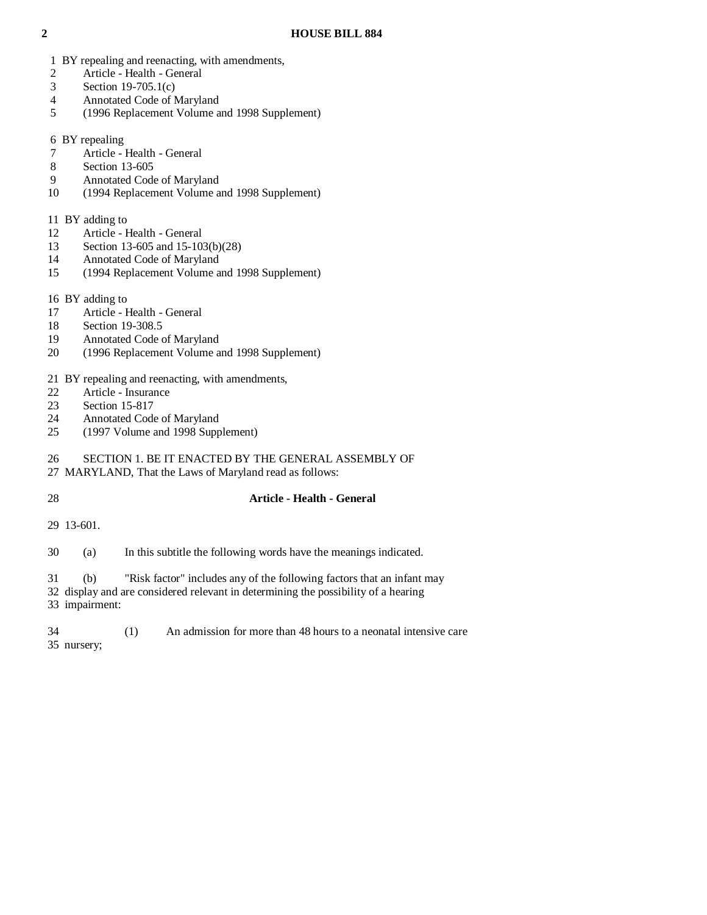- 1 BY repealing and reenacting, with amendments,
- 2 Article Health General
- 3 Section 19-705.1(c)
- 4 Annotated Code of Maryland
- 5 (1996 Replacement Volume and 1998 Supplement)
- 6 BY repealing
- 7 Article Health General
- 8 Section 13-605
- 9 Annotated Code of Maryland
- 10 (1994 Replacement Volume and 1998 Supplement)
- 11 BY adding to
- 12 Article Health General
- 13 Section 13-605 and 15-103(b)(28)
- 14 Annotated Code of Maryland
- 15 (1994 Replacement Volume and 1998 Supplement)
- 16 BY adding to
- 17 Article Health General
- 18 Section 19-308.5
- 19 Annotated Code of Maryland
- 20 (1996 Replacement Volume and 1998 Supplement)

#### 21 BY repealing and reenacting, with amendments,

- 22 Article Insurance<br>23 Section 15-817
- Section 15-817
- 24 Annotated Code of Maryland<br>25 (1997 Volume and 1998 Supp
- (1997 Volume and 1998 Supplement)

# 26 SECTION 1. BE IT ENACTED BY THE GENERAL ASSEMBLY OF

- 27 MARYLAND, That the Laws of Maryland read as follows:
- 

### 28 **Article - Health - General**

29 13-601.

30 (a) In this subtitle the following words have the meanings indicated.

31 (b) "Risk factor" includes any of the following factors that an infant may

 32 display and are considered relevant in determining the possibility of a hearing 33 impairment:

 34 (1) An admission for more than 48 hours to a neonatal intensive care 35 nursery;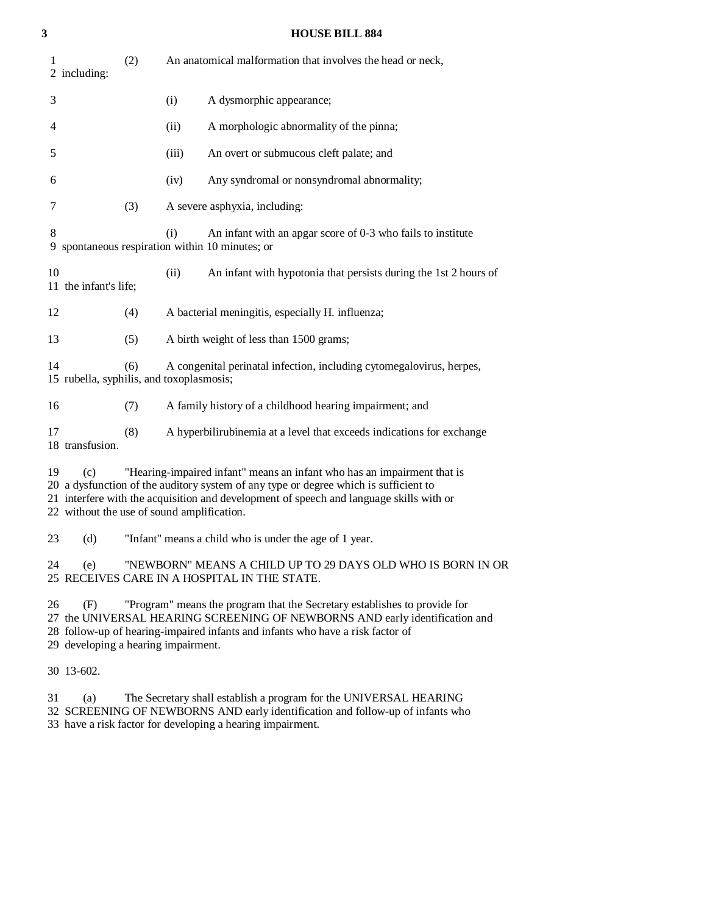| 3 |                                                                |     |       | <b>HOUSE BILL 884</b>                                                                                                                                                                                                                                      |
|---|----------------------------------------------------------------|-----|-------|------------------------------------------------------------------------------------------------------------------------------------------------------------------------------------------------------------------------------------------------------------|
|   | 1<br>2 including:                                              | (2) |       | An anatomical malformation that involves the head or neck,                                                                                                                                                                                                 |
|   | 3                                                              |     | (i)   | A dysmorphic appearance;                                                                                                                                                                                                                                   |
|   | 4                                                              |     | (ii)  | A morphologic abnormality of the pinna;                                                                                                                                                                                                                    |
|   | 5                                                              |     | (iii) | An overt or submucous cleft palate; and                                                                                                                                                                                                                    |
|   | 6                                                              |     | (iv)  | Any syndromal or nonsyndromal abnormality;                                                                                                                                                                                                                 |
|   | 7                                                              | (3) |       | A severe asphyxia, including:                                                                                                                                                                                                                              |
|   | 8                                                              |     | (i)   | An infant with an apgar score of 0-3 who fails to institute<br>9 spontaneous respiration within 10 minutes; or                                                                                                                                             |
|   | 10<br>11 the infant's life;                                    |     | (ii)  | An infant with hypotonia that persists during the 1st 2 hours of                                                                                                                                                                                           |
|   | 12                                                             | (4) |       | A bacterial meningitis, especially H. influenza;                                                                                                                                                                                                           |
|   | 13                                                             | (5) |       | A birth weight of less than 1500 grams;                                                                                                                                                                                                                    |
|   | 14<br>15 rubella, syphilis, and toxoplasmosis;                 | (6) |       | A congenital perinatal infection, including cytomegalovirus, herpes,                                                                                                                                                                                       |
|   | 16                                                             | (7) |       | A family history of a childhood hearing impairment; and                                                                                                                                                                                                    |
|   | 17<br>18 transfusion.                                          | (8) |       | A hyperbilirubinemia at a level that exceeds indications for exchange                                                                                                                                                                                      |
|   | 19<br>(c)<br>22 without the use of sound amplification.        |     |       | "Hearing-impaired infant" means an infant who has an impairment that is<br>20 a dysfunction of the auditory system of any type or degree which is sufficient to<br>21 interfere with the acquisition and development of speech and language skills with or |
|   | 23<br>(d)                                                      |     |       | "Infant" means a child who is under the age of 1 year.                                                                                                                                                                                                     |
|   | 24<br>(e)                                                      |     |       | "NEWBORN" MEANS A CHILD UP TO 29 DAYS OLD WHO IS BORN IN OR<br>25 RECEIVES CARE IN A HOSPITAL IN THE STATE.                                                                                                                                                |
|   | 26<br>(F)<br>29 developing a hearing impairment.<br>30 13-602. |     |       | "Program" means the program that the Secretary establishes to provide for<br>27 the UNIVERSAL HEARING SCREENING OF NEWBORNS AND early identification and<br>28 follow-up of hearing-impaired infants and infants who have a risk factor of                 |
|   |                                                                |     |       |                                                                                                                                                                                                                                                            |

31 (a) The Secretary shall establish a program for the UNIVERSAL HEARING

 32 SCREENING OF NEWBORNS AND early identification and follow-up of infants who 33 have a risk factor for developing a hearing impairment.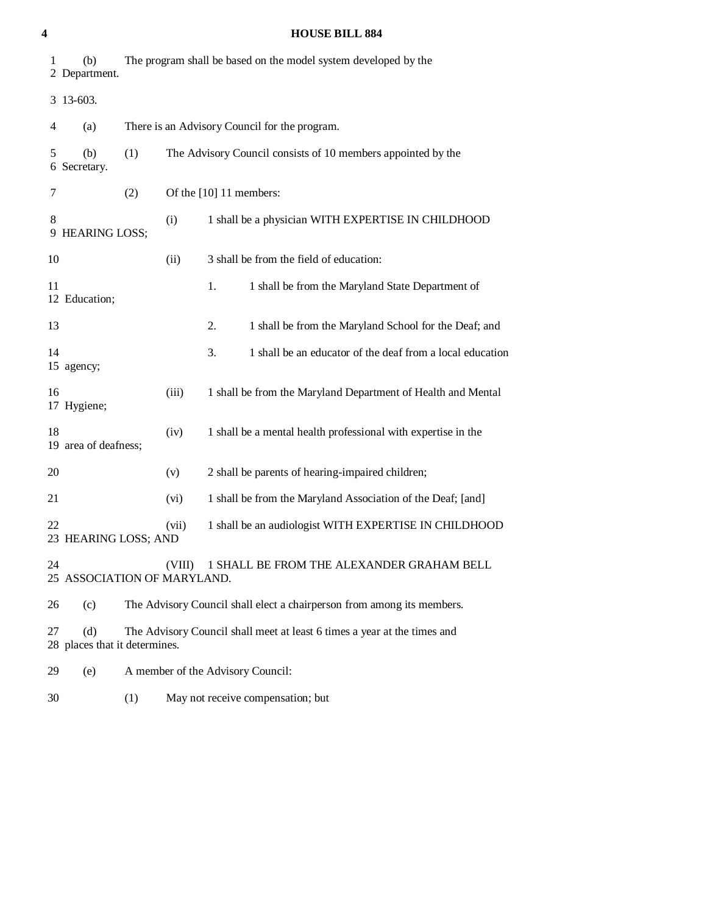| 1  | (b)<br>2 Department.                 |     |        | The program shall be based on the model system developed by the          |
|----|--------------------------------------|-----|--------|--------------------------------------------------------------------------|
|    | 3 13-603.                            |     |        |                                                                          |
| 4  | (a)                                  |     |        | There is an Advisory Council for the program.                            |
| 5  | (b)<br>6 Secretary.                  | (1) |        | The Advisory Council consists of 10 members appointed by the             |
| 7  |                                      | (2) |        | Of the [10] 11 members:                                                  |
| 8  | 9 HEARING LOSS;                      |     | (i)    | 1 shall be a physician WITH EXPERTISE IN CHILDHOOD                       |
| 10 |                                      |     | (ii)   | 3 shall be from the field of education:                                  |
| 11 | 12 Education;                        |     |        | 1.<br>1 shall be from the Maryland State Department of                   |
| 13 |                                      |     |        | 2.<br>1 shall be from the Maryland School for the Deaf; and              |
| 14 | 15 agency;                           |     |        | 3.<br>1 shall be an educator of the deaf from a local education          |
| 16 | 17 Hygiene;                          |     | (iii)  | 1 shall be from the Maryland Department of Health and Mental             |
| 18 | 19 area of deafness;                 |     | (iv)   | 1 shall be a mental health professional with expertise in the            |
| 20 |                                      |     | (v)    | 2 shall be parents of hearing-impaired children;                         |
| 21 |                                      |     | (vi)   | 1 shall be from the Maryland Association of the Deaf; [and]              |
| 22 | 23 HEARING LOSS; AND                 |     | (vii)  | 1 shall be an audiologist WITH EXPERTISE IN CHILDHOOD                    |
| 24 | 25 ASSOCIATION OF MARYLAND.          |     | (VIII) | 1 SHALL BE FROM THE ALEXANDER GRAHAM BELL                                |
| 26 | (c)                                  |     |        | The Advisory Council shall elect a chairperson from among its members.   |
| 27 | (d)<br>28 places that it determines. |     |        | The Advisory Council shall meet at least 6 times a year at the times and |
| 29 | (e)                                  |     |        | A member of the Advisory Council:                                        |

30 (1) May not receive compensation; but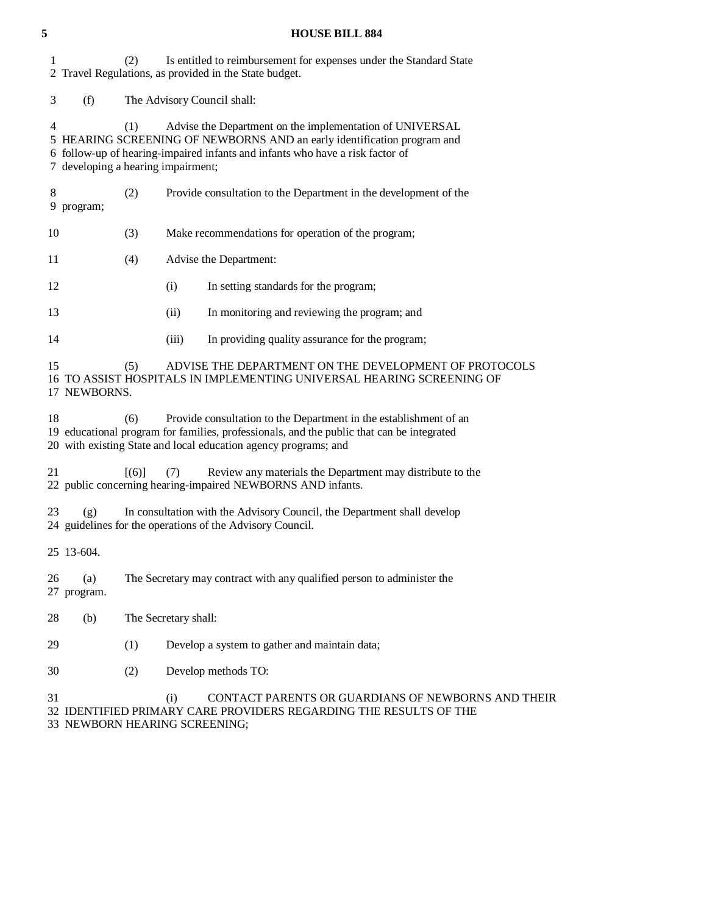#### **5 HOUSE BILL 884**

 1 (2) Is entitled to reimbursement for expenses under the Standard State 2 Travel Regulations, as provided in the State budget.

3 (f) The Advisory Council shall:

 4 (1) Advise the Department on the implementation of UNIVERSAL 5 HEARING SCREENING OF NEWBORNS AND an early identification program and 6 follow-up of hearing-impaired infants and infants who have a risk factor of 7 developing a hearing impairment;

- 8 (2) Provide consultation to the Department in the development of the 9 program;
- 10 (3) Make recommendations for operation of the program;

11 (4) Advise the Department:

- 12 (i) In setting standards for the program;
- 13 (ii) In monitoring and reviewing the program; and
- 14 (iii) In providing quality assurance for the program;

 15 (5) ADVISE THE DEPARTMENT ON THE DEVELOPMENT OF PROTOCOLS 16 TO ASSIST HOSPITALS IN IMPLEMENTING UNIVERSAL HEARING SCREENING OF 17 NEWBORNS.

 18 (6) Provide consultation to the Department in the establishment of an 19 educational program for families, professionals, and the public that can be integrated 20 with existing State and local education agency programs; and

21 [(6)] (7) Review any materials the Department may distribute to the 22 public concerning hearing-impaired NEWBORNS AND infants.

 23 (g) In consultation with the Advisory Council, the Department shall develop 24 guidelines for the operations of the Advisory Council.

25 13-604.

 26 (a) The Secretary may contract with any qualified person to administer the 27 program.

28 (b) The Secretary shall:

- 29 (1) Develop a system to gather and maintain data;
- 30 (2) Develop methods TO:

 31 (i) CONTACT PARENTS OR GUARDIANS OF NEWBORNS AND THEIR 32 IDENTIFIED PRIMARY CARE PROVIDERS REGARDING THE RESULTS OF THE 33 NEWBORN HEARING SCREENING;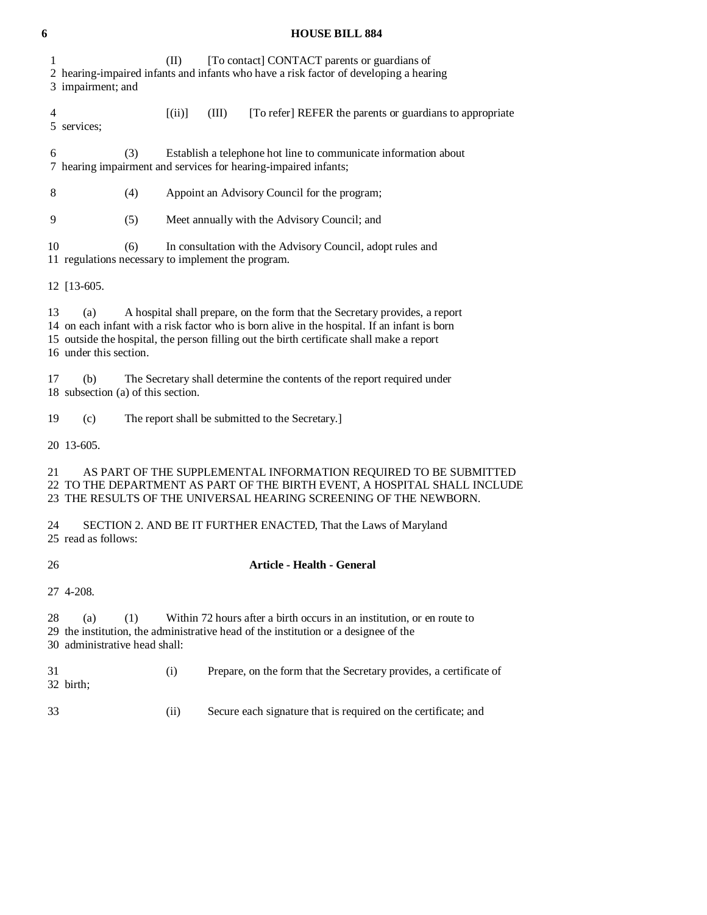# 1 (II) [To contact] CONTACT parents or guardians of 2 hearing-impaired infants and infants who have a risk factor of developing a hearing 3 impairment; and 4 [(ii)] (III) [To refer] REFER the parents or guardians to appropriate 5 services; 6 (3) Establish a telephone hot line to communicate information about 7 hearing impairment and services for hearing-impaired infants; 8 (4) Appoint an Advisory Council for the program; 9 (5) Meet annually with the Advisory Council; and 10 (6) In consultation with the Advisory Council, adopt rules and 11 regulations necessary to implement the program. 12 [13-605. 13 (a) A hospital shall prepare, on the form that the Secretary provides, a report 14 on each infant with a risk factor who is born alive in the hospital. If an infant is born 15 outside the hospital, the person filling out the birth certificate shall make a report 16 under this section. 17 (b) The Secretary shall determine the contents of the report required under 18 subsection (a) of this section. 19 (c) The report shall be submitted to the Secretary.] 20 13-605. 21 AS PART OF THE SUPPLEMENTAL INFORMATION REQUIRED TO BE SUBMITTED 22 TO THE DEPARTMENT AS PART OF THE BIRTH EVENT, A HOSPITAL SHALL INCLUDE 23 THE RESULTS OF THE UNIVERSAL HEARING SCREENING OF THE NEWBORN. 24 SECTION 2. AND BE IT FURTHER ENACTED, That the Laws of Maryland 25 read as follows: 26 **Article - Health - General**  27 4-208. 28 (a) (1) Within 72 hours after a birth occurs in an institution, or en route to 29 the institution, the administrative head of the institution or a designee of the 30 administrative head shall: 31 (i) Prepare, on the form that the Secretary provides, a certificate of 32 birth; 33 (ii) Secure each signature that is required on the certificate; and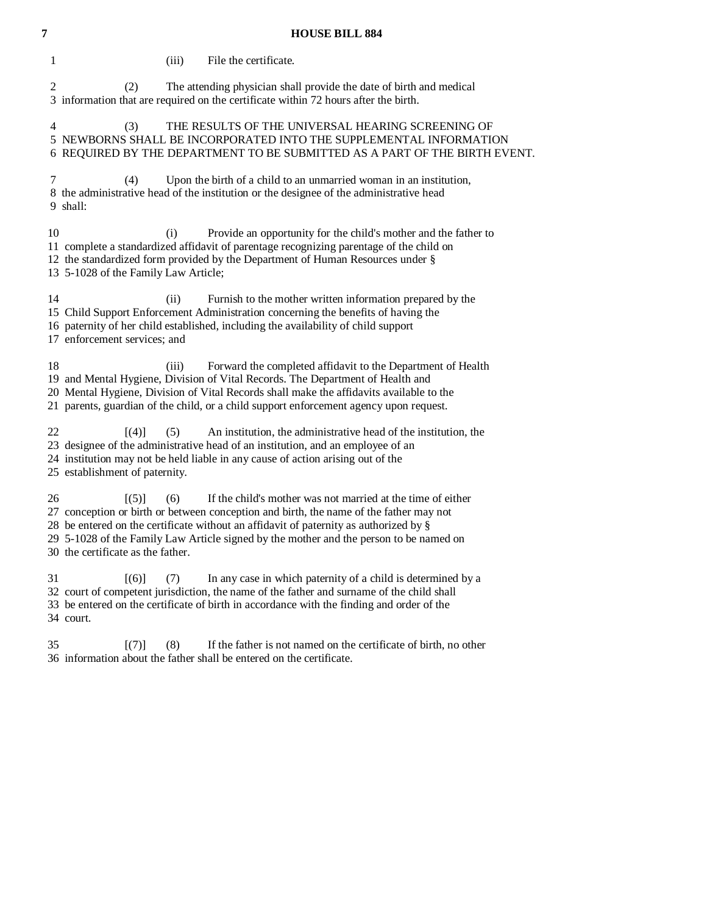| 1  |                                                          | (iii) | File the certificate.                                                                                                                                                                                                                                                                                                                    |
|----|----------------------------------------------------------|-------|------------------------------------------------------------------------------------------------------------------------------------------------------------------------------------------------------------------------------------------------------------------------------------------------------------------------------------------|
| 2  | (2)                                                      |       | The attending physician shall provide the date of birth and medical<br>3 information that are required on the certificate within 72 hours after the birth.                                                                                                                                                                               |
| 4  | (3)                                                      |       | THE RESULTS OF THE UNIVERSAL HEARING SCREENING OF<br>5 NEWBORNS SHALL BE INCORPORATED INTO THE SUPPLEMENTAL INFORMATION<br>6 REQUIRED BY THE DEPARTMENT TO BE SUBMITTED AS A PART OF THE BIRTH EVENT.                                                                                                                                    |
| 7  | (4)<br>9 shall:                                          |       | Upon the birth of a child to an unmarried woman in an institution,<br>8 the administrative head of the institution or the designee of the administrative head                                                                                                                                                                            |
| 10 | 13 5-1028 of the Family Law Article;                     | (i)   | Provide an opportunity for the child's mother and the father to<br>11 complete a standardized affidavit of parentage recognizing parentage of the child on<br>12 the standardized form provided by the Department of Human Resources under §                                                                                             |
| 14 | 17 enforcement services; and                             | (ii)  | Furnish to the mother written information prepared by the<br>15 Child Support Enforcement Administration concerning the benefits of having the<br>16 paternity of her child established, including the availability of child support                                                                                                     |
| 18 |                                                          | (iii) | Forward the completed affidavit to the Department of Health<br>19 and Mental Hygiene, Division of Vital Records. The Department of Health and<br>20 Mental Hygiene, Division of Vital Records shall make the affidavits available to the<br>21 parents, guardian of the child, or a child support enforcement agency upon request.       |
| 22 | [(4)]<br>25 establishment of paternity.                  | (5)   | An institution, the administrative head of the institution, the<br>23 designee of the administrative head of an institution, and an employee of an<br>24 institution may not be held liable in any cause of action arising out of the                                                                                                    |
| 26 | $\lceil (5) \rceil$<br>30 the certificate as the father. | (6)   | If the child's mother was not married at the time of either<br>27 conception or birth or between conception and birth, the name of the father may not<br>28 be entered on the certificate without an affidavit of paternity as authorized by §<br>29 5-1028 of the Family Law Article signed by the mother and the person to be named on |
| 31 | [(6)]<br>34 court.                                       | (7)   | In any case in which paternity of a child is determined by a<br>32 court of competent jurisdiction, the name of the father and surname of the child shall<br>33 be entered on the certificate of birth in accordance with the finding and order of the                                                                                   |
|    |                                                          |       |                                                                                                                                                                                                                                                                                                                                          |

 35 [(7)] (8) If the father is not named on the certificate of birth, no other 36 information about the father shall be entered on the certificate.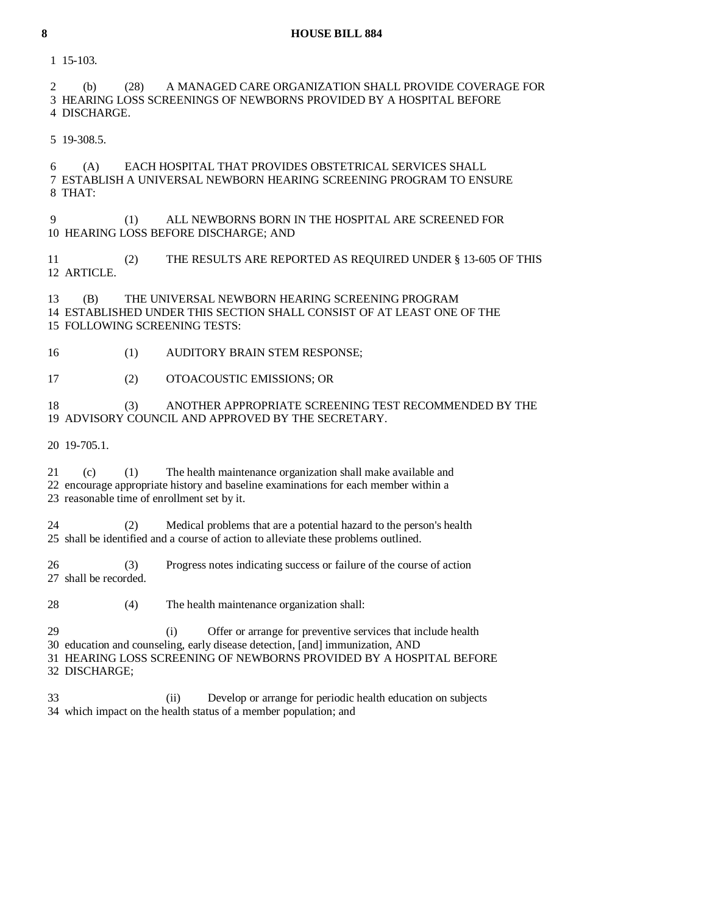1 15-103.

 2 (b) (28) A MANAGED CARE ORGANIZATION SHALL PROVIDE COVERAGE FOR 3 HEARING LOSS SCREENINGS OF NEWBORNS PROVIDED BY A HOSPITAL BEFORE 4 DISCHARGE.

5 19-308.5.

 6 (A) EACH HOSPITAL THAT PROVIDES OBSTETRICAL SERVICES SHALL 7 ESTABLISH A UNIVERSAL NEWBORN HEARING SCREENING PROGRAM TO ENSURE 8 THAT:

 9 (1) ALL NEWBORNS BORN IN THE HOSPITAL ARE SCREENED FOR 10 HEARING LOSS BEFORE DISCHARGE; AND

 11 (2) THE RESULTS ARE REPORTED AS REQUIRED UNDER § 13-605 OF THIS 12 ARTICLE.

 13 (B) THE UNIVERSAL NEWBORN HEARING SCREENING PROGRAM 14 ESTABLISHED UNDER THIS SECTION SHALL CONSIST OF AT LEAST ONE OF THE 15 FOLLOWING SCREENING TESTS:

16 (1) AUDITORY BRAIN STEM RESPONSE;

17 (2) OTOACOUSTIC EMISSIONS; OR

 18 (3) ANOTHER APPROPRIATE SCREENING TEST RECOMMENDED BY THE 19 ADVISORY COUNCIL AND APPROVED BY THE SECRETARY.

20 19-705.1.

 21 (c) (1) The health maintenance organization shall make available and 22 encourage appropriate history and baseline examinations for each member within a 23 reasonable time of enrollment set by it.

 24 (2) Medical problems that are a potential hazard to the person's health 25 shall be identified and a course of action to alleviate these problems outlined.

 26 (3) Progress notes indicating success or failure of the course of action 27 shall be recorded.

28 (4) The health maintenance organization shall:

29 (i) Offer or arrange for preventive services that include health

30 education and counseling, early disease detection, [and] immunization, AND

 31 HEARING LOSS SCREENING OF NEWBORNS PROVIDED BY A HOSPITAL BEFORE 32 DISCHARGE;

 33 (ii) Develop or arrange for periodic health education on subjects 34 which impact on the health status of a member population; and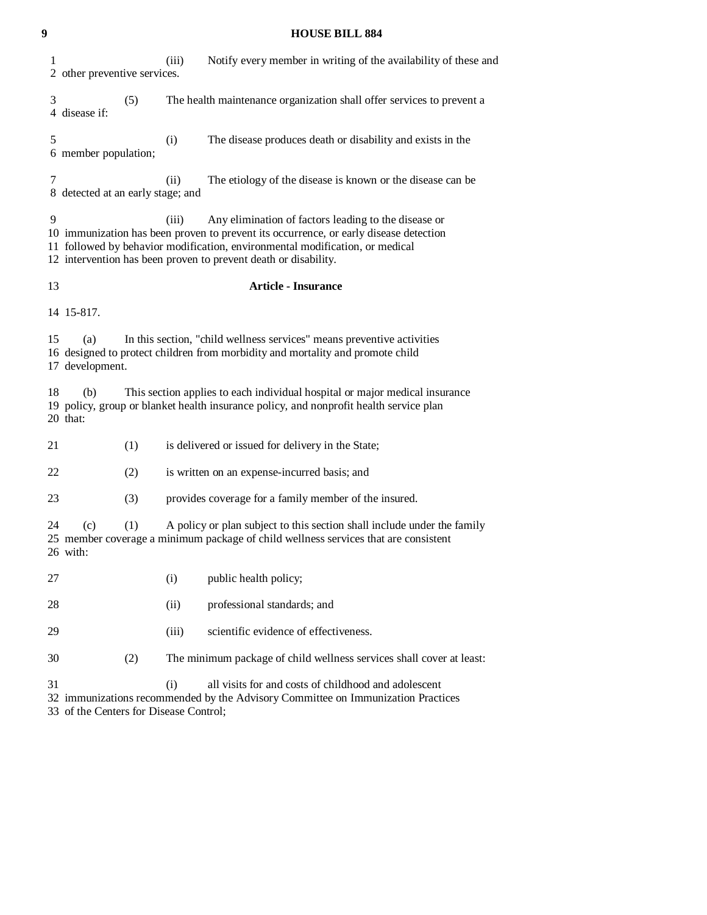| 9  | <b>HOUSE BILL 884</b>                                                                                                                                                                                                                                                                                     |     |       |                                                                                                                                                                       |  |  |
|----|-----------------------------------------------------------------------------------------------------------------------------------------------------------------------------------------------------------------------------------------------------------------------------------------------------------|-----|-------|-----------------------------------------------------------------------------------------------------------------------------------------------------------------------|--|--|
| 1  | 2 other preventive services.                                                                                                                                                                                                                                                                              |     | (iii) | Notify every member in writing of the availability of these and                                                                                                       |  |  |
| 3  | 4 disease if:                                                                                                                                                                                                                                                                                             | (5) |       | The health maintenance organization shall offer services to prevent a                                                                                                 |  |  |
| 5  | 6 member population;                                                                                                                                                                                                                                                                                      |     | (i)   | The disease produces death or disability and exists in the                                                                                                            |  |  |
| 7  | The etiology of the disease is known or the disease can be<br>(ii)<br>8 detected at an early stage; and                                                                                                                                                                                                   |     |       |                                                                                                                                                                       |  |  |
| 9  | (iii)<br>Any elimination of factors leading to the disease or<br>10 immunization has been proven to prevent its occurrence, or early disease detection<br>11 followed by behavior modification, environmental modification, or medical<br>12 intervention has been proven to prevent death or disability. |     |       |                                                                                                                                                                       |  |  |
|    | 13<br><b>Article - Insurance</b>                                                                                                                                                                                                                                                                          |     |       |                                                                                                                                                                       |  |  |
|    | 14 15-817.                                                                                                                                                                                                                                                                                                |     |       |                                                                                                                                                                       |  |  |
| 15 | (a)<br>17 development.                                                                                                                                                                                                                                                                                    |     |       | In this section, "child wellness services" means preventive activities<br>16 designed to protect children from morbidity and mortality and promote child              |  |  |
| 18 | (b)<br>20 that:                                                                                                                                                                                                                                                                                           |     |       | This section applies to each individual hospital or major medical insurance<br>19 policy, group or blanket health insurance policy, and nonprofit health service plan |  |  |
| 21 |                                                                                                                                                                                                                                                                                                           | (1) |       | is delivered or issued for delivery in the State;                                                                                                                     |  |  |
| 22 |                                                                                                                                                                                                                                                                                                           | (2) |       | is written on an expense-incurred basis; and                                                                                                                          |  |  |
| 23 |                                                                                                                                                                                                                                                                                                           | (3) |       | provides coverage for a family member of the insured.                                                                                                                 |  |  |
| 24 | (c)<br>26 with:                                                                                                                                                                                                                                                                                           | (1) |       | A policy or plan subject to this section shall include under the family<br>25 member coverage a minimum package of child wellness services that are consistent        |  |  |
| 27 |                                                                                                                                                                                                                                                                                                           |     | (i)   | public health policy;                                                                                                                                                 |  |  |
| 28 |                                                                                                                                                                                                                                                                                                           |     | (ii)  | professional standards; and                                                                                                                                           |  |  |
| 29 |                                                                                                                                                                                                                                                                                                           |     | (iii) | scientific evidence of effectiveness.                                                                                                                                 |  |  |
| 30 |                                                                                                                                                                                                                                                                                                           | (2) |       | The minimum package of child wellness services shall cover at least:                                                                                                  |  |  |
| 31 | 33 of the Centers for Disease Control;                                                                                                                                                                                                                                                                    |     | (i)   | all visits for and costs of childhood and adolescent<br>32 immunizations recommended by the Advisory Committee on Immunization Practices                              |  |  |